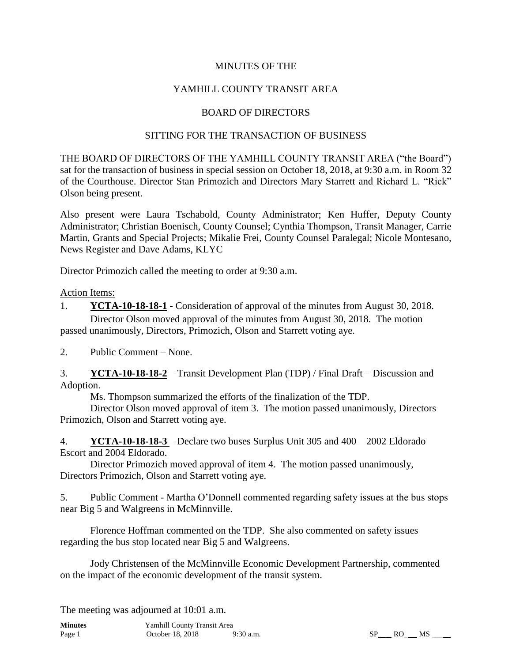### MINUTES OF THE

## YAMHILL COUNTY TRANSIT AREA

#### BOARD OF DIRECTORS

#### SITTING FOR THE TRANSACTION OF BUSINESS

THE BOARD OF DIRECTORS OF THE YAMHILL COUNTY TRANSIT AREA ("the Board") sat for the transaction of business in special session on October 18, 2018, at 9:30 a.m. in Room 32 of the Courthouse. Director Stan Primozich and Directors Mary Starrett and Richard L. "Rick" Olson being present.

Also present were Laura Tschabold, County Administrator; Ken Huffer, Deputy County Administrator; Christian Boenisch, County Counsel; Cynthia Thompson, Transit Manager, Carrie Martin, Grants and Special Projects; Mikalie Frei, County Counsel Paralegal; Nicole Montesano, News Register and Dave Adams, KLYC

Director Primozich called the meeting to order at 9:30 a.m.

Action Items:

1. **YCTA-10-18-18-1** - Consideration of approval of the minutes from August 30, 2018. Director Olson moved approval of the minutes from August 30, 2018. The motion passed unanimously, Directors, Primozich, Olson and Starrett voting aye.

2. Public Comment – None.

3. **YCTA-10-18-18-2** – Transit Development Plan (TDP) / Final Draft – Discussion and Adoption.

Ms. Thompson summarized the efforts of the finalization of the TDP.

Director Olson moved approval of item 3. The motion passed unanimously, Directors Primozich, Olson and Starrett voting aye.

4. **YCTA-10-18-18-3** – Declare two buses Surplus Unit 305 and 400 – 2002 Eldorado Escort and 2004 Eldorado.

Director Primozich moved approval of item 4. The motion passed unanimously, Directors Primozich, Olson and Starrett voting aye.

5. Public Comment - Martha O'Donnell commented regarding safety issues at the bus stops near Big 5 and Walgreens in McMinnville.

Florence Hoffman commented on the TDP. She also commented on safety issues regarding the bus stop located near Big 5 and Walgreens.

Jody Christensen of the McMinnville Economic Development Partnership, commented on the impact of the economic development of the transit system.

The meeting was adjourned at 10:01 a.m.